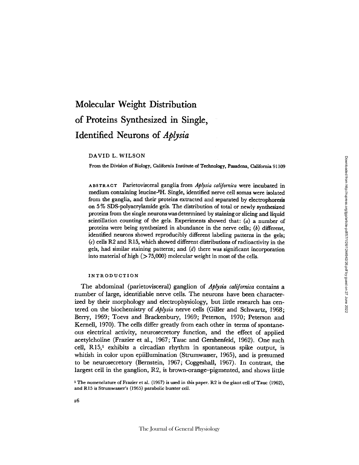# Molecular Weight Distribution of Proteins Synthesized in Single, Identified Neurons of *Aplysia*

# DAVID L. WILSON

From the Division of Biology, California Institute of Technology, Pasadena, California 91109

ABSTRACT Parietovisceral ganglia from *Aplysia californica* were incubated in medium containing leucine-8H. Single, identified nerve cell somas were isolated from the ganglia, and their proteins extracted and separated by electrophoresis on 5 % SDS-polyacrylamide gels. The distribution of total or newly synthesized proteins from the single neurons was determined by staining or slicing and liquid scintillation counting of the gels. Experiments showed that: *(a)* a number of proteins were being synthesized in abundance in the nerve cells; *(b)* different, identified neurons showed reproducibly different labeling patterns in the gels; *(c)* cells R2 and R15, which showed different distributions of radioactivity in the gels, had similar staining patterns; and *(d)* there was significant incorporation into material of high  $(>75,000)$  molecular weight in most of the cells.

#### INTRODUCTION

The abdominal (parietovisceral) ganglion of *Aplysia californica* contains a number of large, identifiable nerve cells. The neurons have been characterized by their morphology and electrophysiology, but little research has centered on the biochemistry of *Aplysia* nerve cells (Giller and Schwartz, 1968; Berry, 1969; Toevs and Brackenbury, 1969; Peterson, 1970; Peterson and Kernell, 1970). The cells differ greatly from each other in terms of spontaneous electrical activity, neurosecretory function, and the effect of applied acetylcholine (Frazier et al., 1967; Tauc and Gershenfeld, 1962). One such cell, **R15,1** exhibits a circadian rhythm in spontaneous spike output, is whitish in color upon epiillumination (Strumwasser, 1965), and is presumed to be neurosecretory (Bernstein, 1967; Coggeshall, 1967). In contrast, the largest cell in the ganglion, R2, is brown-orange-pigmented, and shows little

<sup>1</sup> The nomenclature of Frazier et al. (1967) is used in this paper. R2 is the giant cell of Tauc (1962), and R15 is Strumwasser's (1965) parabolic burster cell.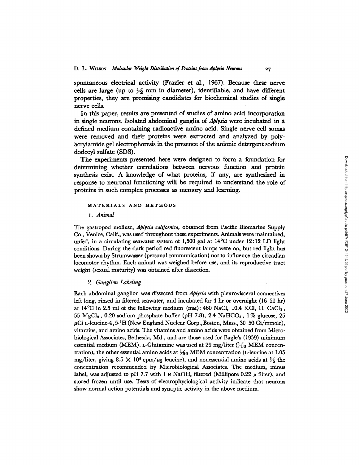**spontaneous electrical activity** (Frazier et al., 1967). Because these nerve cells are large (up to  $\frac{1}{2}$  mm in diameter), identifiable, and have different properties, they are promising candidates for biochemical studies of single nerve cells.

In this paper, results are presented of studies of amino acid incorporation in single neurons. Isolated abdominal ganglia of *Aplysia* were incubated in a defined medium containing radioactive amino acid. Single nerve cell somas were removed and their proteins were extracted and analyzed by polyacrylamide gel electrophoresis in the presence of the anionic detergent sodium dodecyl sulfate (SDS).

The experiments presented here were designed to form a foundation for determining whether correlations between nervous function and protein synthesis exist. A knowledge of what proteins, if any, are synthesized in response to neuronal functioning will be required to understand the role of proteins in such complex processes as memory and learning.

## **MATERIALS AND METHODS**

*1. Animal*

The gastropod mollusc, *Aplysia californica,* obtained from Pacific Biomarine Supply Co., Venice, Calif., was used throughout these experiments. Animals were maintained, unfed, in a circulating seawater system of 1,500 gal at 14°C under 12:12 LD light conditions. During the dark period red fluorescent lamps were on, but red light has been shown by Strumwasser (personal communication) not to influence the circadian locomotor rhythm. Each animal was weighed before use, and its reproductive tract weight (sexual maturity) was obtained after dissection.

## *2. Ganglion Labeling*

Each abdominal ganglion was dissected from *Aplysia* with pleurovisceral connectives left long, rinsed in filtered seawater, and incubated for 4 hr or overnight (16-21 hr) at  $14^{\circ}$ C in 2.5 ml of the following medium (mm): 460 NaCl, 10.4 KCl, 11 CaCl<sub>2</sub>,  $55 \text{ MgCl}_2$ ,  $0.20$  sodium phosphate buffer (pH 7.8),  $2.4 \text{ NaHCO}_8$ ,  $1\%$  glucose,  $25$  $\mu\mathrm{Ci}$  L-leucine-4 , 5- $^3\mathrm{H}$  (New England Nuclear Corp., Boston, Mass., 30–50 Ci/mmole), vitamins, and amino acids. The vitamins and amino acids were obtained from Microbiological Associates, Bethesda, Md., and are those used for Eagle's (1959) minimum essential medium (MEM). L-Glutamine was used at 29 mg/liter ( $\frac{1}{10}$  MEM concentration), the other essential amino acids at  $\frac{1}{60}$  MEM concentration (*L*-leucine at 1.05 mg/liter, giving 8.5  $\times$  10<sup>6</sup> cpm/ $\mu$ g leucine), and nonessential amino acids at  $\frac{1}{5}$  the concentration recommended by Microbiological Associates. The medium, minus label, was adjusted to pH 7.7 with 1  $\mu$  NaOH, filtered (Millipore 0.22  $\mu$  filter), and stored frozen until use. Tests of electrophysiological activity indicate that neurons show normal action potentials and synaptic activity in the above medium.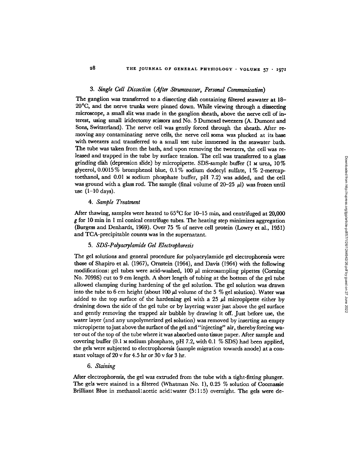#### *3. Single Cell Dissection (After Strumwasser, Personal Communication)*

The ganglion was transferred to a dissecting dish containing filtered seawater at 18- 20 0C, and the nerve trunks were pinned down. While viewing through a dissecting microscope, a small slit was made in the ganglion sheath, above the nerve cell of interest, using small iridectomy scissors and No. 5 Dumoxel tweezers (A. Dumont and Sons, Switzerland). The nerve cell was gently forced through the sheath. After removing any contaminating nerve cells, the nerve cell soma was plucked at its base with tweezers and transferred to a small test tube immersed in the seawater bath. The tube was taken from the bath, and upon removing the tweezers, the cell was released and trapped in the tube by surface tension. The cell was transferred to a glass grinding dish (depression slide) by micropipette. SDS-sample buffer  $(1 \text{ m} \text{ urea}, 10\%)$ glycerol, 0.0015% bromphenol blue, 0.1% sodium dodecyl sulfate, 1% 2-mercaptoethanol, and 0.01 M sodium phosphate buffer, pH 7.2) was added, and the cell was ground with a glass rod. The sample (final volume of  $20-25 \mu$ ) was frozen until use  $(1-10 \text{ days})$ .

# *4. Sample Treatment*

After thawing, samples were heated to 65°C for 10-15 min, and centrifuged at 20,000 g for 10 min in I ml conical centrifuge tubes. The heating step minimizes aggregation (Burgess and Denhardt, 1969). Over 75 % of nerve cell protein (Lowry et al., 1951) and TCA-precipitable counts was in the supernatant.

## *5. SDS-Polyacrylamide Gel Electrophoresis*

The gel solutions and general procedure for polyacrylamide gel electrophoresis were those of Shapiro et al. (1967), Ornstein (1964), and Davis (1964) with the following modifications: gel tubes were acid-washed,  $100 \mu l$  microsampling pipettes (Corning No. 7099S) cut to 9 cm length. A short length of tubing at the bottom of the gel tube allowed clamping during hardening of the gel solution. The gel solution was drawn into the tube to 6 cm height (about 100  $\mu$ l volume of the 5 % gel solution). Water was added to the top surface of the hardening gel with a  $25 \mu$ l micropipette either by draining down the side of the gel tube or by layering water just above the gel surface and gently removing the trapped air bubble by drawing it off. Just before use, the water layer (and any unpolymerized gel solution) was removed by inserting an empty micropipette tojust above the surface of the gel and "injecting" air, thereby forcing water out of the top of the tube where it was absorbed onto tissue paper. After sample and covering buffer (0.1 M sodium phosphate, pH 7.2, with 0.1 % SDS) had been applied, the gels were subjected to electrophoresis (sample migration towards anode) at a constant voltage of 20 v for 4.5 hr or 30 v for 3 hr.

#### *6. Staining*

After electrophoresis, the gel was extruded from the tube with a tight-fitting plunger. The gels were stained in a filtered (Whatman No. 1), 0.25 % solution of Coomassie Brilliant Blue in methanol:acetic acid:water (5:1:5) overnight. The gels were deDownloaded from http://rupress.org/jgp/article-pdf/57/1/26/124942/26.pdf by guest on 27 June 2022 Downloaded from http://rupress.org/jgp/article-pdf/57/1/26/1244942/26.pdf by guest on 27 June 2022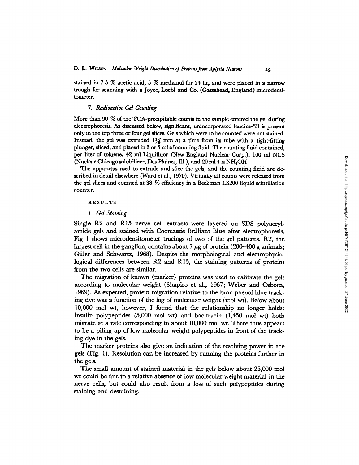stained in 7.5 % acetic acid, 5 % methanol for 24 hr, and were placed in a narrow trough for scanning with a Joyce, Loebl and Co. (Gateshead, England) microdensitometer.

## *7. Radioactive Gel Counting*

More than 90 % of the TCA-precipitable counts in the sample entered the gel during electrophoresis. As discussed below, significant, unincorporated leucine-'H is present only in the top three or four gel slices. Gels which were to be counted were not stained. Instead, the gel was extruded  $1\frac{1}{4}$  mm at a time from its tube with a tight-fitting plunger, sliced, and placed in 3 or 5 ml of counting fluid. The counting fluid contained, per liter of toluene, 42 ml Liquifluor (New England Nuclear Corp.), 100 ml NCS (Nuclear Chicago solubilizer, Des Plaines, Ill.), and 20 ml 4 м NH<sub>4</sub>OH

The apparatus used to extrude and slice the gels, and the counting fluid are described in detail elsewhere (Ward et al., 1970). Virtually all counts were released from the gel slices and counted at 38 % efficiency in a Beckman LS200 liquid scintillation counter.

#### RESULTS

#### *1. Gel Staining*

Single R2 and R15 nerve cell extracts were layered on SDS polyacrylamide gels and stained with Coomassie Brilliant Blue after electrophoresis. Fig 1 shows microdensitometer tracings of two of the gel patterns. R2, the largest cell in the ganglion, contains about 7  $\mu$ g of protein (200–400 g animals; Giller and Schwartz, 1968). Despite the morphological and electrophysiological differences between R2 and R15, the staining patterns of proteins from the two cells are similar.

The migration of known (marker) proteins was used to calibrate the gels according to molecular weight (Shapiro et al., 1967; Weber and Osborn, 1969). As expected, protein migration relative to the bromphenol blue tracking dye was a function of the log of molecular weight (mol wt). Below about 10,000 mol wt, however, I found that the relationship no longer holds: insulin polypeptides (5,000 mol wt) and bacitracin (1,450 mol wt) both migrate at a rate corresponding to about 10,000 mol wt. There thus appears to be a piling-up of low molecular weight polypeptides in front of the tracking dye in the gels.

The marker proteins also give an indication of the resolving power in the gels (Fig. 1). Resolution can be increased by running the proteins further in the gels.

The small amount of stained material in the gels below about 25,000 mol wt could be due to a relative absence of low molecular weight material in the nerve cells, but could also result from a loss of such polypeptides during staining and destaining.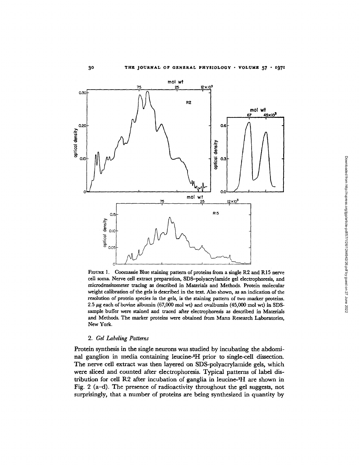

**FIGURE** 1. Coomassie Blue staining pattern of proteins from a single R2 and R15 nerve cell soma. Nerve cell extract preparation, SDS-polyacrylamide gel electrophoresis, and microdensitometer tracing as described in Materials and Methods. Protein molecular weight calibration of the gels is described in the text. Also shown, as an indication of the resolution of protein species in the gels, is the staining pattern of two marker proteins. 2.5  $\mu$ g each of bovine albumin (67,000 mol wt) and ovalbumin (45,000 mol wt) in SDSsample buffer were stained and traced after electrophoresis as described in Materials and Methods. The marker proteins were obtained from Mann Research Laboratories, New York.

# *2. Gel Labeling Patterns*

Protein synthesis in the single neurons was studied by incubating the abdominal ganglion in media containing leucine-<sup>3</sup>H prior to single-cell dissection. The nerve cell extract was then layered on SDS-polyacrylamide gels, which were sliced and counted after electrophoresis. Typical patterns of label distribution for cell R2 after incubation of ganglia in leucine-3H are shown in Fig. 2 (a-d). The presence of radioactivity throughout the gel suggests, not surprisingly, that a number of proteins are being synthesized in quantity by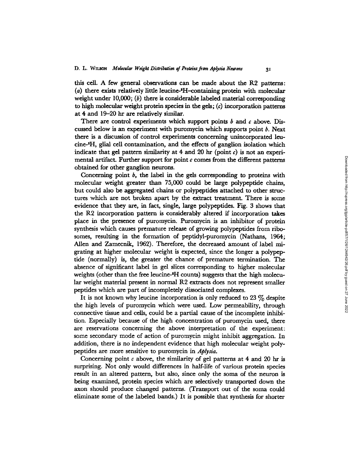this cell. A few general observations can be made about the R2 patterns: (a) there exists relatively little leucine-'H-containing protein with molecular weight under 10,000; *(b)* there is considerable labeled material corresponding to high molecular weight protein species in the gels; *(c)* incorporation patterns at 4 and 19-20 hr are relatively similar.

There are control experiments which support points *b* and *c* above. Discussed below is an experiment with puromycin which supports point *b.* Next there is a discussion of control experiments concerning unincorporated leucine-SH, glial cell contamination, and the effects of ganglion isolation which indicate that gel pattern similarity at 4 and 20 hr (point *c)* is not an experimental artifact. Further support for point  $c$  comes from the different patterns obtained for other ganglion neurons.

Concerning point *b,* the label in the gels corresponding to proteins with molecular weight greater than 75,000 could be large polypeptide chains, but could also be aggregated chains or polypeptides attached to other structures which are not broken apart by the extract treatment. There is some evidence that they are, in fact, single, large polypeptides. Fig. 3 shows that the R2 incorporation pattern is considerably altered if incorporation takes place in the presence of puromycin. Puromycin is an inhibitor of protein synthesis which causes premature release of growing polypeptides from ribosomes, resulting in the formation of peptidyl-puromycin (Nathans, 1964; Allen and Zamecnik, 1962). Therefore, the decreased amount of label migrating at higher molecular weight is expected, since the longer a polypeptide (normally) is, the greater the chance of premature termination. The absence of significant label in gel slices corresponding to higher molecular weights (other than the free leucine-<sup>3</sup>H counts) suggests that the high molecular weight material present in normal R2 extracts does not represent smaller peptides which are part of incompletely dissociated complexes.

It is not known why leucine incorporation is only reduced to  $23\%$  despite the high levels of puromycin which were used. Low permeability, through connective tissue and cells, could be a partial cause of the incomplete inhibition. Especially because of the high concentration of puromycin used, there are reservations concerning the above interpretation of the experiment: some secondary mode of action of puromycin might inhibit aggregation. In addition, there is no independent evidence that high molecular weight polypeptides are more sensitive to puromycin in *Aplysia.*

Concerning point  $\epsilon$  above, the similarity of gel patterns at 4 and 20 hr is surprising. Not only would differences in half-life of various protein species result in an altered pattern, but also, since only the soma of the neuron is being examined, protein species which are selectively transported down the axon should produce changed patterns. (Transport out of the soma could eliminate some of the labeled bands.) It is possible that synthesis for shorter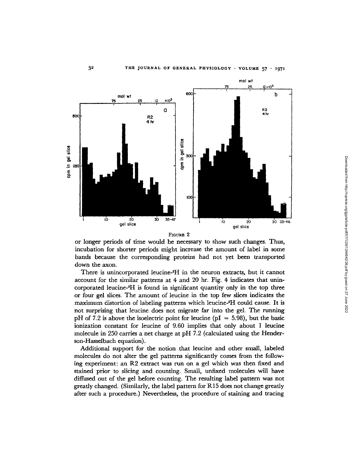

FIGURE 2

or longer periods of time would be necessary to show such changes. Thus, incubation for shorter periods might increase the amount of label in some bands because the corresponding proteins had not yet been transported down the axon.

There is unincorporated leucine-<sup>3</sup>H in the neuron extracts, but it cannot account for the similar patterns at 4 and 20 hr. Fig. 4 indicates that unincorporated leucine-<sup>3</sup>H is found in significant quantity only in the top three or four gel slices. The amount of leucine in the top few slices indicates the maximum distortion of labeling patterns which leucine-8H could cause. It is not surprising that leucine does not migrate far into the gel. The running pH of 7.2 is above the isoelectric point for leucine ( $pI = 5.98$ ), but the basic ionization constant for leucine of 9.60 implies that only about 1 leucine molecule in 250 carries a net charge at pH 7.2 (calculated using the Henderson-Hasselbach equation).

Additional support for the notion that leucine and other small, labeled molecules do not alter the gel patterns significantly comes from the following experiment: an R2 extract was run on a gel which was then fixed and stained prior to slicing and counting. Small, unfixed molecules will have diffused out of the gel before counting. The resulting label pattern was not greatly changed. (Similarly, the label pattern for R 15 does not change greatly after such a procedure.) Nevertheless, the procedure of staining and tracing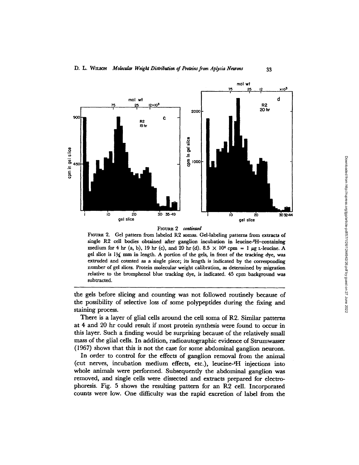

#### FIouRE 2 *continued*

FiouRE 2. Gel pattern from labeled R2 somas. Gel-labeling patterns from extracts of single R2 cell bodies obtained after ganglion incubation in leucine-3H-containing medium for 4 hr (a, b), 19 hr (c), and 20 hr (d). 8.5  $\times$  10<sup>6</sup> cpm = 1  $\mu$ g L-leucine. A gel slice is 13{ mm in length. A portion of the gels, in front of the tracking dye, was extruded and counted as a single piece; its length is indicated by the corresponding number of gel slices. Protein molecular weight calibration, as determined by migration relative to the bromphenol blue tracking dye, is indicated. 45 cpm background was subtracted.

the gels before slicing and counting was not followed routinely because of the possibility of selective loss of some polypeptides during the fixing and staining process.

There is a layer of glial cells around the cell soma of R2. Similar patterns at 4 and 20 hr could result if most protein synthesis were found to occur in this layer. Such a finding would be surprising because of the relatively small mass of the glial cells. In addition, radioautographic evidence of Strumwasser (1967) shows that this is not the case for some abdominal ganglion neurons.

In order to control for the effects of ganglion removal from the animal (cut nerves, incubation medium effects, etc.), leucine-3H injections into whole animals were performed. Subsequently the abdominal ganglion was removed, and single cells were dissected and extracts prepared for electrophoresis. Fig. 5 shows the resulting pattern for an R2 cell. Incorporated counts were low. One difficulty was the rapid excretion of label from the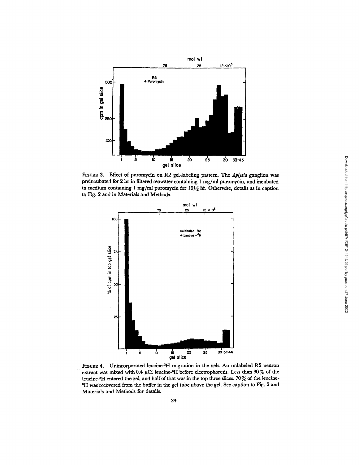

FiouRE 3. Effect of puromycin on R2 gel-labeling pattern. The *Aplysia* ganglion was preincubated for 2 hr in filtered seawater containing 1 mg/ml puromycin, and incubated in medium containing  $l$  mg/ml puromycin for  $19\frac{1}{2}$  hr. Otherwise, details as in caption to Fig. 2 and in Materials and Methods.



FIGURE 4. Unincorporated leucine-3H migration in the gels. An unlabeled R2 neuron extract was mixed with 0.4  $\mu$ Ci leucine-<sup>3</sup>H before electrophoresis. Less than 30% of the leucine-SH entered the gel, and half of that was in the top three slices. 70% of the leucine-<sup>3</sup>H was recovered from the buffer in the gel tube above the gel. See caption to Fig. 2 and Materials and Methods for details.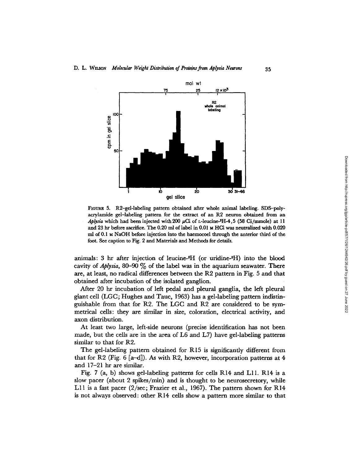

FIGURE 5. R2-gel-labeling pattern obtained after whole animal labeling. SDS-polyacrylamide gel-labeling pattern for the extract of an R2 neuron obtained from an *Aplysia* which had been injected with 200  $\mu$ Ci of L-leucine-3H-4,5 (58 Ci/mmole) at 11 and 23 hr before sacrifice. The 0.20 ml of label in 0.01 M HC1 was neutralized with 0.020 ml of 0.1 M NaOH before injection into the haemocoel through the anterior third of the foot. See caption to Fig. 2 and Materials and Methods for details.

animals: 3 hr after injection of leucine- ${}^{3}H$  (or uridine- ${}^{3}H$ ) into the blood cavity of *Aplysia,* 80-90 % of the label was in the aquarium seawater. There are, at least, no radical differences between the R2 pattern in Fig. 5 and that obtained after incubation of the isolated ganglion.

After 20 hr incubation of left pedal and pleural ganglia, the left pleural giant cell (LGC; Hughes and Tauc, 1963) has a gel-labeling pattern indistinguishable from that for R2. The LGC and R2 are considered to be symmetrical cells: they are similar in size, coloration, electrical activity, and axon distribution.

At least two large, left-side neurons (precise identification has not been made, but the cells are in the area of L6 and L7) have gel-labeling patterns similar to that for R2.

The gel-labeling pattern obtained for R15 is significantly different from that for R2 (Fig. 6 [a-d]). As with R2, however, incorporation patterns at 4 and 17-21 hr are similar.

Fig. 7 (a, b) shows gel-labeling patterns for cells R14 and L11. R14 is a slow pacer (about 2 spikes/min) and is thought to be neurosecretory, while L11 is a fast pacer (2/sec; Frazier et al., 1967). The pattern shown for R14 is not always observed: other R14 cells show a pattern more similar to that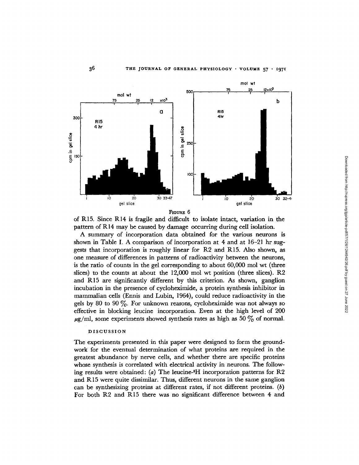

of R15. Since R14 is fragile and difficult to isolate intact, variation in the pattern of R14 may be caused by damage occurring during cell isolation.

A summary of incorporation data obtained for the various neurons is shown in Table I. A comparison of incorporation at 4 and at 16-21 hr suggests that incorporation is roughly linear for R2 and R15. Also shown, as one measure of differences in patterns of radioactivity between the neurons, is the ratio of counts in the gel corresponding to about 60,000 mol wt (three slices) to the counts at about the 12,000 mol wt position (three slices). R2 and R15 are significantly different by this criterion. As shown, ganglion incubation in the presence of cycloheximide, a protein synthesis inhibitor in mammalian cells (Ennis and Lubin, 1964), could reduce radioactivity in the gels by 80 to 90 $\%$ . For unknown reasons, cycloheximide was not always so effective in blocking leucine incorporation. Even at the high level of 200  $\mu$ g/ml, some experiments showed synthesis rates as high as 50  $\%$  of normal.

## DISCUSSION

The experiments presented in this paper were designed to form the groundwork for the eventual determination of what proteins are required in the greatest abundance by nerve cells, and whether there are specific proteins whose synthesis is correlated with electrical activity in neurons. The following results were obtained: (a) The leucine- ${}^{3}H$  incorporation patterns for R2 and R15 were quite dissimilar. Thus, different neurons in the same ganglion can be synthesizing proteins at different rates, if not different proteins. *(b)* For both R2 and R15 there was no significant difference between 4 and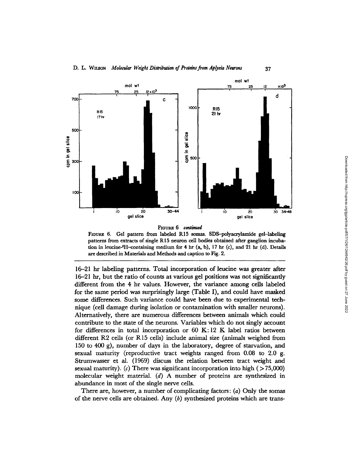

FIGuRE *6 continued*

FIGuRE 6. Gel pattern from labeled R15 somas. SDS-polyacrylamide gel-labeling patterns from extracts of single R15 neuron cell bodies obtained after ganglion incubation in leucine-3 H-containing medium for 4 hr (a, b), 17 hr (c), and 21 hr (d). Details are described in Materials and Methods and caption to Fig. 2.

16-21 hr labeling patterns. Total incorporation of leucine was greater after 16-21 hr, but the ratio of counts at various gel positions was not significantly different from the 4 hr values. However, the variance among cells labeled for the same period was surprisingly large (Table I), and could have masked some differences. Such variance could have been due to experimental technique (cell damage during isolation or contamination with smaller neurons). Alternatively, there are numerous differences between animals which could contribute to the state of the neurons. Variables which do not singly account for differences in total incorporation or  $60 \text{ K}: 12 \text{ K}$  label ratios between different R2 cells (or R15 cells) include animal size (animals weighed from 150 to 400 g), number of days in the laboratory, degree of starvation, and sexual maturity (reproductive tract weights ranged from 0.08 to 2.0 g. Strumwasser et al. (1969) discuss the relation between tract weight and sexual maturity).  $(c)$  There was significant incorporation into high  $($  > 75,000) molecular weight material. *(d)* A number of proteins are synthesized in abundance in most of the single nerve cells.

There are, however, a number of complicating factors:  $(a)$  Only the somas of the nerve cells are obtained. Any *(b)* synthesized proteins which are trans-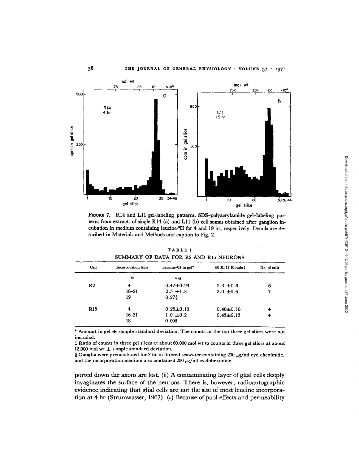

FIGURE 7. R14 and LI gel-labeling patterns. SDS-polyacrylamide gel-labeling patterns from extracts of single R14 (a) and LI I (b) cell somas obtained after ganglion incubation in medium containing leucine-3H for 4 and 19 hr, respectively. Details are described in Materials and Methods and caption to Fig. 2.

| <b>TABLE I</b>                         |  |  |  |  |  |  |  |  |  |
|----------------------------------------|--|--|--|--|--|--|--|--|--|
| SUMMARY OF DATA FOR R2 AND R15 NEURONS |  |  |  |  |  |  |  |  |  |

| Cell           | Incorporation time | Leucine-'H in gel* | 60 K:12 K ratiot | No. of cells |
|----------------|--------------------|--------------------|------------------|--------------|
|                | hr                 | mug                |                  |              |
| R <sub>2</sub> | 4                  | $0.47 + 0.29$      | $2.3 \pm 0.8$    | 6            |
|                | $16 - 21$          | $2.5 \pm 1.3$      | $2.0 \pm 0.6$    | 7            |
|                | 19                 | $0.27$ \$          |                  |              |
| <b>R</b> 15    | 4                  | $0.25 \pm 0.13$    | $0.40 + 0.16$    | 4            |
|                | $16 - 21$          | $1.0 \pm 0.2$      | $0.45 + 0.15$    | 4            |
|                | 18                 | $0.09$ \$          |                  |              |

\* Amount in gel  $\pm$  sample standard deviation. The counts in the top three gel slices were not included.

 $\ddagger$  Ratio of counts in three gel slices at about 60,000 mol wt to counts in three gel slices at about 12,000 mol wt  $\pm$  sample standard deviation.

§ Ganglia were preincubated for 2 hr in filtered seawater containing 200  $\mu$ g/ml cycloheximide, and the incorporation medium also contained 200  $\mu$ g/ml cycloheximide.

ported down the axons are lost. *(b)* A contaminating layer of glial cells deeply invaginates the surface of the neurons. There is, however, radioautographic evidence indicating that glial cells are not the site of most leucine incorporation at 4 hr (Strumwasser, 1967). (c) Because of pool effects and permeability Downloaded from http://rupress.org/jgp/article-pdf/57/1/26/1244942/26.pdf by guest on 27 June 2022 Downloaded from http://rupress.org/jgp/article-pdf/57/1/26/1244942/26.pdf by guest on 27 June 2022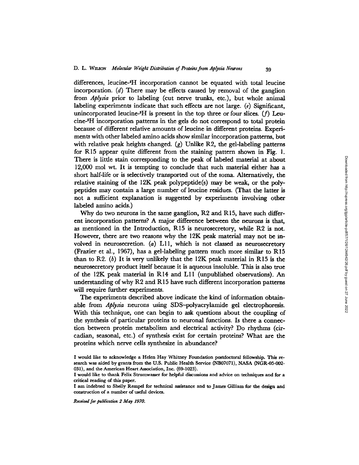differences, leucine-<sup>a</sup>H incorporation cannot be equated with total leucine incorporation. *(d)* There may be effects caused by removal of the ganglion from *Aplysia* prior to labeling (cut nerve trunks, etc.), but whole animal labeling experiments indicate that such effects are not large. *(e)* Significant, unincorporated leucine- ${}^{3}H$  is present in the top three or four slices. (f) Leucine-3H incorporation patterns in the gels do not correspond to total protein because of different relative amounts of leucine in different proteins. Experiments with other labeled amino acids show similar incorporation patterns, but with relative peak heights changed. (g) Unlike R2, the gel-labeling patterns for R15 appear quite different from the staining pattern shown in Fig. 1. There is little stain corresponding to the peak of labeled material at about 12,000 mol wt. It is tempting to conclude that such material either has a short half-life or is selectively transported out of the soma. Alternatively, the relative staining of the 12K peak polypeptide(s) may be weak, or the polypeptides may contain a large number of leucine residues. (That the latter is not a sufficient explanation is suggested by experiments involving other labeled amino acids.)

Why do two neurons in the same ganglion, R2 and R15, have such different incorporation patterns? A major difference between the neurons is that, as mentioned in the Introduction, R15 is neurosecretory, while R2 is not. However, there are two reasons why the 12K peak material may not be involved in neurosecretion. (a) Lll, which is not classed as neurosecretory (Frazier et al., 1967), has a gel-labeling pattern much more similar to R15 than to R2. *(b)* It is very unlikely that the 12K peak material in R15 is the neurosecretory product itself because it is aqueous insoluble. This is also true of the  $12K$  peak material in R14 and L11 (unpublished observations). An understanding of why  $R2$  and  $R15$  have such different incorporation patterns will require further experiments.

The experiments described above indicate the kind of information obtainable from *Aplysia* neurons using SDS-polyacrylamide gel electrophoresis. With this technique, one can begin to ask questions about the coupling of the synthesis of particular proteins to neuronal functions. Is there a connection between protein metabolism and electrical activity? Do rhythms (circadian, seasonal, etc.) of synthesis exist for certain proteins? What are the proteins which nerve cells synthesize in abundance?

*Received for publication 2 May 1970.*

I would like to acknowledge a Helen Hay Whitney Foundation postdoctoral fellowship. This research was aided by grants from the U.S. Public Health Service (NB07071), NASA (NGR-05-002- 031), and the American Heart Association, Inc. (69-1023).

I would like to thank Felix Strumwasser for helpful discussions and advice on techniques and for a critical reading of this paper.

I am indebted to Shelly Rempel for technical assistance and to James Gilliam for the design and construction of a number of useful devices.